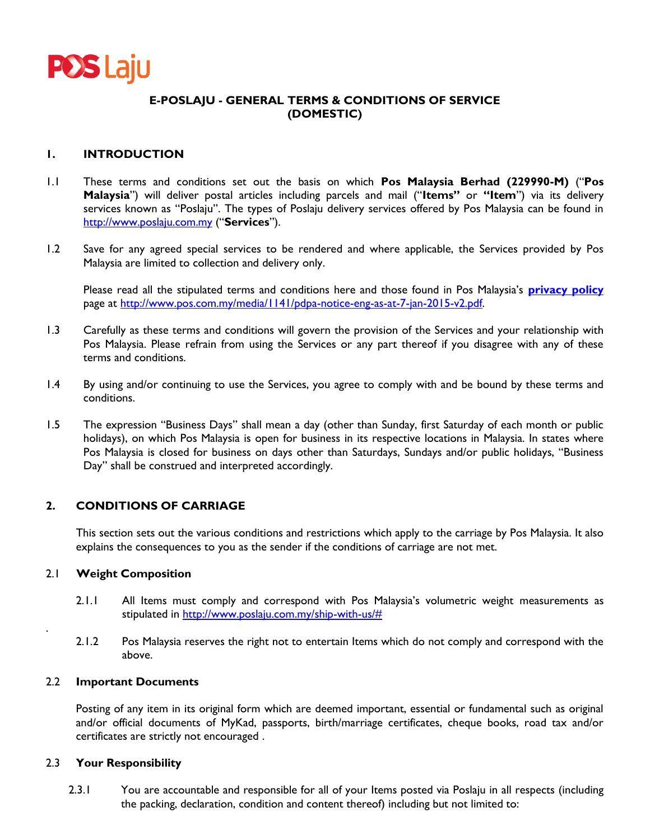

# **E-POSLAJU - GENERAL TERMS & CONDITIONS OF SERVICE (DOMESTIC)**

## **1. INTRODUCTION**

- 1.1 These terms and conditions set out the basis on which **Pos Malaysia Berhad (229990-M)** ("**Pos Malaysia**") will deliver postal articles including parcels and mail ("**Items"** or **"Item**") via its delivery services known as "Poslaju". The types of Poslaju delivery services offered by Pos Malaysia can be found in [http://www.poslaju.com.my](http://www.poslaju.com.my/) ("**Services**").
- 1.2 Save for any agreed special services to be rendered and where applicable, the Services provided by Pos Malaysia are limited to collection and delivery only.

Please read all the stipulated terms and conditions here and those found in Pos Malaysia's **[privacy policy](http://www.poslaju.com.my/)** page at http://www.pos.com.my/media/1141/pdpa-notice-eng-as-at-7-jan-2015-v2.pdf.

- 1.3 Carefully as these terms and conditions will govern the provision of the Services and your relationship with Pos Malaysia. Please refrain from using the Services or any part thereof if you disagree with any of these terms and conditions.
- 1.4 By using and/or continuing to use the Services, you agree to comply with and be bound by these terms and conditions.
- 1.5 The expression "Business Days" shall mean a day (other than Sunday, first Saturday of each month or public holidays), on which Pos Malaysia is open for business in its respective locations in Malaysia. In states where Pos Malaysia is closed for business on days other than Saturdays, Sundays and/or public holidays, "Business Day" shall be construed and interpreted accordingly.

### **2. CONDITIONS OF CARRIAGE**

This section sets out the various conditions and restrictions which apply to the carriage by Pos Malaysia. It also explains the consequences to you as the sender if the conditions of carriage are not met.

#### 2.1 **Weight Composition**

.

- 2.1.1 All Items must comply and correspond with Pos Malaysia's volumetric weight measurements as stipulated in [http://www.poslaju.com.my/ship-with-us/#](http://www.poslaju.com.my/ship-with-us/)
- 2.1.2 Pos Malaysia reserves the right not to entertain Items which do not comply and correspond with the above.

#### 2.2 **Important Documents**

Posting of any item in its original form which are deemed important, essential or fundamental such as original and/or official documents of MyKad, passports, birth/marriage certificates, cheque books, road tax and/or certificates are strictly not encouraged .

#### 2.3 **Your Responsibility**

2.3.1 You are accountable and responsible for all of your Items posted via Poslaju in all respects (including the packing, declaration, condition and content thereof) including but not limited to: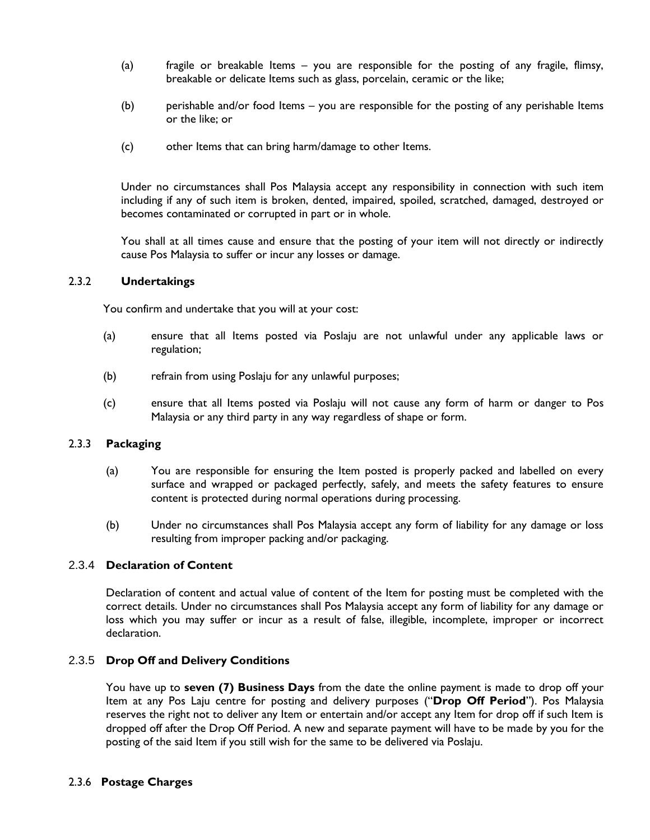- (a) fragile or breakable Items you are responsible for the posting of any fragile, flimsy, breakable or delicate Items such as glass, porcelain, ceramic or the like;
- (b) perishable and/or food Items you are responsible for the posting of any perishable Items or the like; or
- (c) other Items that can bring harm/damage to other Items.

Under no circumstances shall Pos Malaysia accept any responsibility in connection with such item including if any of such item is broken, dented, impaired, spoiled, scratched, damaged, destroyed or becomes contaminated or corrupted in part or in whole.

You shall at all times cause and ensure that the posting of your item will not directly or indirectly cause Pos Malaysia to suffer or incur any losses or damage.

#### 2.3.2 **Undertakings**

You confirm and undertake that you will at your cost:

- (a) ensure that all Items posted via Poslaju are not unlawful under any applicable laws or regulation;
- (b) refrain from using Poslaju for any unlawful purposes;
- (c) ensure that all Items posted via Poslaju will not cause any form of harm or danger to Pos Malaysia or any third party in any way regardless of shape or form.

## 2.3.3 **Packaging**

- (a) You are responsible for ensuring the Item posted is properly packed and labelled on every surface and wrapped or packaged perfectly, safely, and meets the safety features to ensure content is protected during normal operations during processing.
- (b) Under no circumstances shall Pos Malaysia accept any form of liability for any damage or loss resulting from improper packing and/or packaging.

### 2.3.4 **Declaration of Content**

Declaration of content and actual value of content of the Item for posting must be completed with the correct details. Under no circumstances shall Pos Malaysia accept any form of liability for any damage or loss which you may suffer or incur as a result of false, illegible, incomplete, improper or incorrect declaration.

### 2.3.5 **Drop Off and Delivery Conditions**

You have up to **seven (7) Business Days** from the date the online payment is made to drop off your Item at any Pos Laju centre for posting and delivery purposes ("**Drop Off Period**"). Pos Malaysia reserves the right not to deliver any Item or entertain and/or accept any Item for drop off if such Item is dropped off after the Drop Off Period. A new and separate payment will have to be made by you for the posting of the said Item if you still wish for the same to be delivered via Poslaju.

### 2.3.6 **Postage Charges**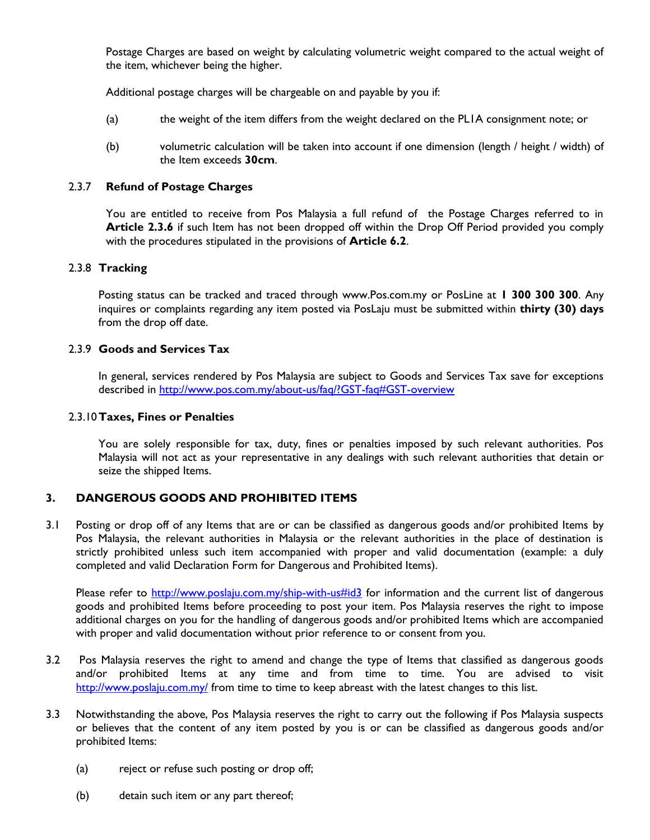Postage Charges are based on weight by calculating volumetric weight compared to the actual weight of the item, whichever being the higher.

Additional postage charges will be chargeable on and payable by you if:

- (a) the weight of the item differs from the weight declared on the PL1A consignment note; or
- (b) volumetric calculation will be taken into account if one dimension (length / height / width) of the Item exceeds **30cm**.

## 2.3.7 **Refund of Postage Charges**

You are entitled to receive from Pos Malaysia a full refund of the Postage Charges referred to in **Article 2.3.6** if such Item has not been dropped off within the Drop Off Period provided you comply with the procedures stipulated in the provisions of **Article 6.2**.

### 2.3.8 **Tracking**

Posting status can be tracked and traced through www.Pos.com.my or PosLine at **1 300 300 300**. Any inquires or complaints regarding any item posted via PosLaju must be submitted within **thirty (30) days** from the drop off date.

## 2.3.9 **Goods and Services Tax**

In general, services rendered by Pos Malaysia are subject to Goods and Services Tax save for exceptions described in<http://www.pos.com.my/about-us/faq/?GST-faq#GST-overview>

### 2.3.10**Taxes, Fines or Penalties**

You are solely responsible for tax, duty, fines or penalties imposed by such relevant authorities. Pos Malaysia will not act as your representative in any dealings with such relevant authorities that detain or seize the shipped Items.

# **3. DANGEROUS GOODS AND PROHIBITED ITEMS**

3.1 Posting or drop off of any Items that are or can be classified as dangerous goods and/or prohibited Items by Pos Malaysia, the relevant authorities in Malaysia or the relevant authorities in the place of destination is strictly prohibited unless such item accompanied with proper and valid documentation (example: a duly completed and valid Declaration Form for Dangerous and Prohibited Items).

Please refer to<http://www.poslaju.com.my/ship-with-us#id3> for information and the current list of dangerous goods and prohibited Items before proceeding to post your item. Pos Malaysia reserves the right to impose additional charges on you for the handling of dangerous goods and/or prohibited Items which are accompanied with proper and valid documentation without prior reference to or consent from you.

- 3.2 Pos Malaysia reserves the right to amend and change the type of Items that classified as dangerous goods and/or prohibited Items at any time and from time to time. You are advised to visit <http://www.poslaju.com.my/> from time to time to keep abreast with the latest changes to this list.
- 3.3 Notwithstanding the above, Pos Malaysia reserves the right to carry out the following if Pos Malaysia suspects or believes that the content of any item posted by you is or can be classified as dangerous goods and/or prohibited Items:
	- (a) reject or refuse such posting or drop off;
	- (b) detain such item or any part thereof;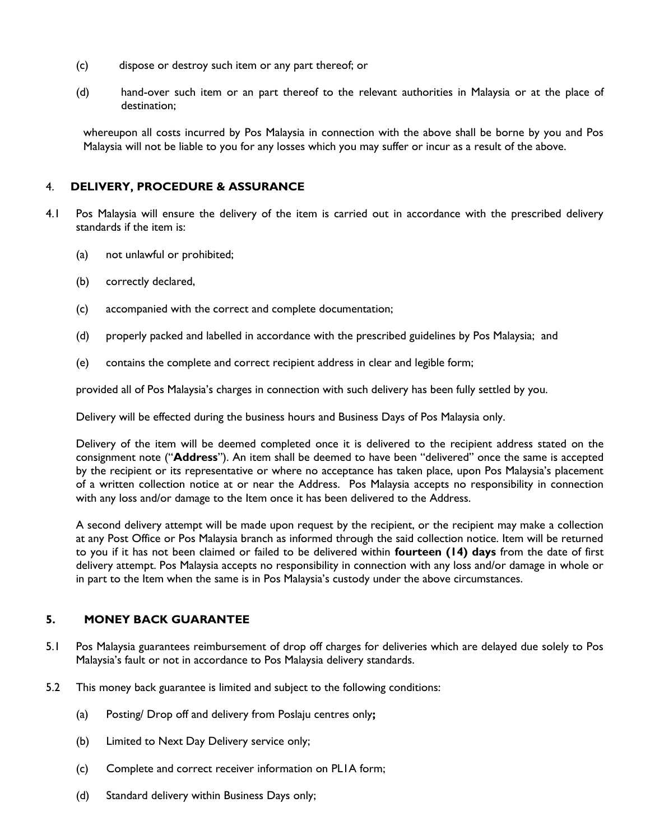- (c) dispose or destroy such item or any part thereof; or
- (d) hand-over such item or an part thereof to the relevant authorities in Malaysia or at the place of destination;

whereupon all costs incurred by Pos Malaysia in connection with the above shall be borne by you and Pos Malaysia will not be liable to you for any losses which you may suffer or incur as a result of the above.

# 4. **DELIVERY, PROCEDURE & ASSURANCE**

- 4.1 Pos Malaysia will ensure the delivery of the item is carried out in accordance with the prescribed delivery standards if the item is:
	- (a) not unlawful or prohibited;
	- (b) correctly declared,
	- (c) accompanied with the correct and complete documentation;
	- (d) properly packed and labelled in accordance with the prescribed guidelines by Pos Malaysia; and
	- (e) contains the complete and correct recipient address in clear and legible form;

provided all of Pos Malaysia's charges in connection with such delivery has been fully settled by you.

Delivery will be effected during the business hours and Business Days of Pos Malaysia only.

Delivery of the item will be deemed completed once it is delivered to the recipient address stated on the consignment note ("**Address**"). An item shall be deemed to have been "delivered" once the same is accepted by the recipient or its representative or where no acceptance has taken place, upon Pos Malaysia's placement of a written collection notice at or near the Address. Pos Malaysia accepts no responsibility in connection with any loss and/or damage to the Item once it has been delivered to the Address.

A second delivery attempt will be made upon request by the recipient, or the recipient may make a collection at any Post Office or Pos Malaysia branch as informed through the said collection notice. Item will be returned to you if it has not been claimed or failed to be delivered within **fourteen (14) days** from the date of first delivery attempt. Pos Malaysia accepts no responsibility in connection with any loss and/or damage in whole or in part to the Item when the same is in Pos Malaysia's custody under the above circumstances.

# **5. MONEY BACK GUARANTEE**

- 5.1 Pos Malaysia guarantees reimbursement of drop off charges for deliveries which are delayed due solely to Pos Malaysia's fault or not in accordance to Pos Malaysia delivery standards.
- 5.2 This money back guarantee is limited and subject to the following conditions:
	- (a) Posting/ Drop off and delivery from Poslaju centres only**;**
	- (b) Limited to Next Day Delivery service only;
	- (c) Complete and correct receiver information on PL1A form;
	- (d) Standard delivery within Business Days only;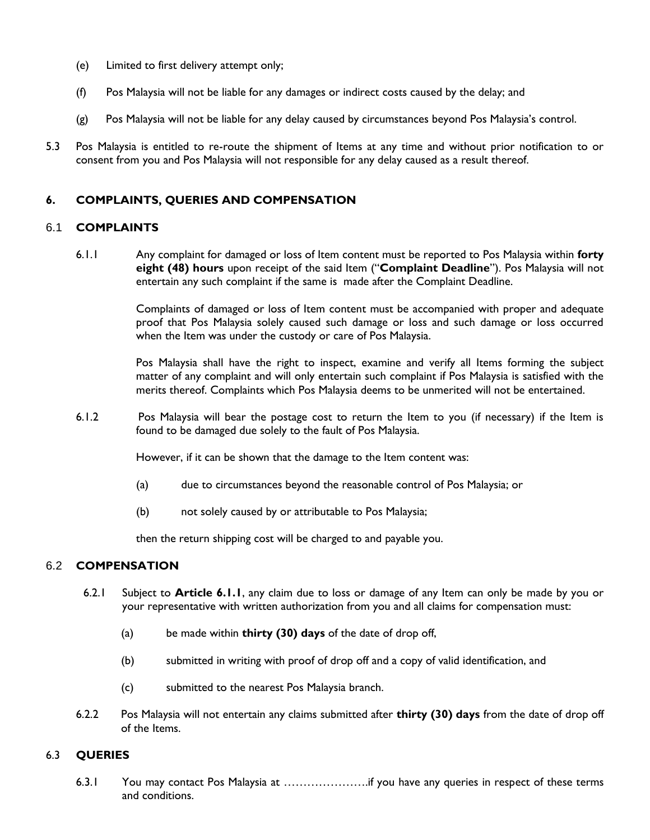- (e) Limited to first delivery attempt only;
- (f) Pos Malaysia will not be liable for any damages or indirect costs caused by the delay; and
- (g) Pos Malaysia will not be liable for any delay caused by circumstances beyond Pos Malaysia's control.
- 5.3 Pos Malaysia is entitled to re-route the shipment of Items at any time and without prior notification to or consent from you and Pos Malaysia will not responsible for any delay caused as a result thereof.

# **6. COMPLAINTS, QUERIES AND COMPENSATION**

### 6.1 **COMPLAINTS**

6.1.1 Any complaint for damaged or loss of Item content must be reported to Pos Malaysia within **forty eight (48) hours** upon receipt of the said Item ("**Complaint Deadline**"). Pos Malaysia will not entertain any such complaint if the same is made after the Complaint Deadline.

> Complaints of damaged or loss of Item content must be accompanied with proper and adequate proof that Pos Malaysia solely caused such damage or loss and such damage or loss occurred when the Item was under the custody or care of Pos Malaysia.

> Pos Malaysia shall have the right to inspect, examine and verify all Items forming the subject matter of any complaint and will only entertain such complaint if Pos Malaysia is satisfied with the merits thereof. Complaints which Pos Malaysia deems to be unmerited will not be entertained.

6.1.2 Pos Malaysia will bear the postage cost to return the Item to you (if necessary) if the Item is found to be damaged due solely to the fault of Pos Malaysia.

However, if it can be shown that the damage to the Item content was:

- (a) due to circumstances beyond the reasonable control of Pos Malaysia; or
- (b) not solely caused by or attributable to Pos Malaysia;

then the return shipping cost will be charged to and payable you.

# 6.2 **COMPENSATION**

- 6.2.1 Subject to **Article 6.1.1**, any claim due to loss or damage of any Item can only be made by you or your representative with written authorization from you and all claims for compensation must:
	- (a) be made within **thirty (30) days** of the date of drop off,
	- (b) submitted in writing with proof of drop off and a copy of valid identification, and
	- (c) submitted to the nearest Pos Malaysia branch.
- 6.2.2 Pos Malaysia will not entertain any claims submitted after **thirty (30) days** from the date of drop off of the Items.

### 6.3 **QUERIES**

6.3.1 You may contact Pos Malaysia at ………………….if you have any queries in respect of these terms and conditions.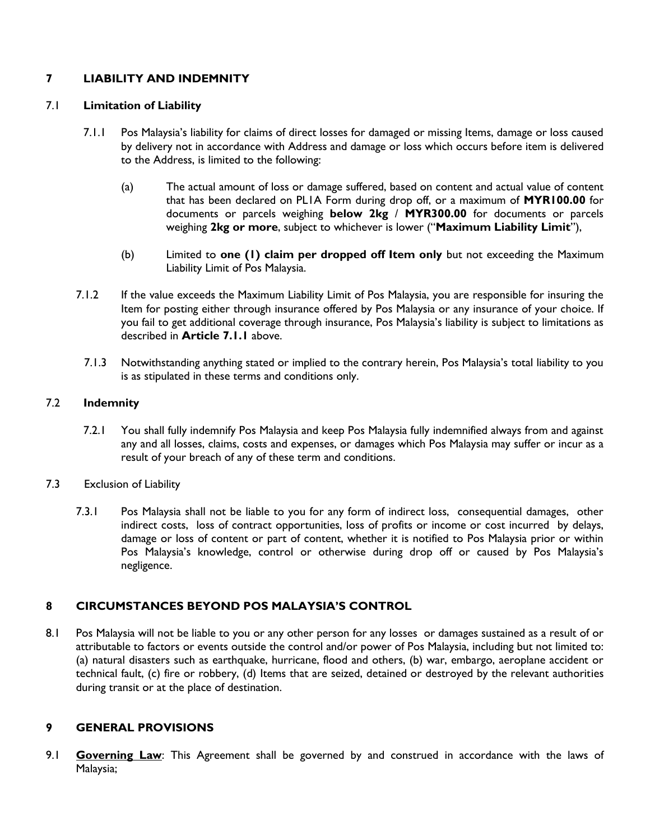# **7 LIABILITY AND INDEMNITY**

## 7.1 **Limitation of Liability**

- 7.1.1 Pos Malaysia's liability for claims of direct losses for damaged or missing Items, damage or loss caused by delivery not in accordance with Address and damage or loss which occurs before item is delivered to the Address, is limited to the following:
	- (a) The actual amount of loss or damage suffered, based on content and actual value of content that has been declared on PL1A Form during drop off, or a maximum of **MYR100.00** for documents or parcels weighing **below 2kg** / **MYR300.00** for documents or parcels weighing **2kg or more**, subject to whichever is lower ("**Maximum Liability Limit**"),
	- (b) Limited to **one (1) claim per dropped off Item only** but not exceeding the Maximum Liability Limit of Pos Malaysia.
- 7.1.2 If the value exceeds the Maximum Liability Limit of Pos Malaysia, you are responsible for insuring the Item for posting either through insurance offered by Pos Malaysia or any insurance of your choice. If you fail to get additional coverage through insurance, Pos Malaysia's liability is subject to limitations as described in **Article 7.1.1** above.
	- 7.1.3 Notwithstanding anything stated or implied to the contrary herein, Pos Malaysia's total liability to you is as stipulated in these terms and conditions only.

### 7.2 **Indemnity**

- 7.2.1 You shall fully indemnify Pos Malaysia and keep Pos Malaysia fully indemnified always from and against any and all losses, claims, costs and expenses, or damages which Pos Malaysia may suffer or incur as a result of your breach of any of these term and conditions.
- 7.3 Exclusion of Liability
	- 7.3.1 Pos Malaysia shall not be liable to you for any form of indirect loss, consequential damages, other indirect costs, loss of contract opportunities, loss of profits or income or cost incurred by delays, damage or loss of content or part of content, whether it is notified to Pos Malaysia prior or within Pos Malaysia's knowledge, control or otherwise during drop off or caused by Pos Malaysia's negligence.

# **8 CIRCUMSTANCES BEYOND POS MALAYSIA'S CONTROL**

8.1 Pos Malaysia will not be liable to you or any other person for any losses or damages sustained as a result of or attributable to factors or events outside the control and/or power of Pos Malaysia, including but not limited to: (a) natural disasters such as earthquake, hurricane, flood and others, (b) war, embargo, aeroplane accident or technical fault, (c) fire or robbery, (d) Items that are seized, detained or destroyed by the relevant authorities during transit or at the place of destination.

# **9 GENERAL PROVISIONS**

9.1 **Governing Law**: This Agreement shall be governed by and construed in accordance with the laws of Malaysia;